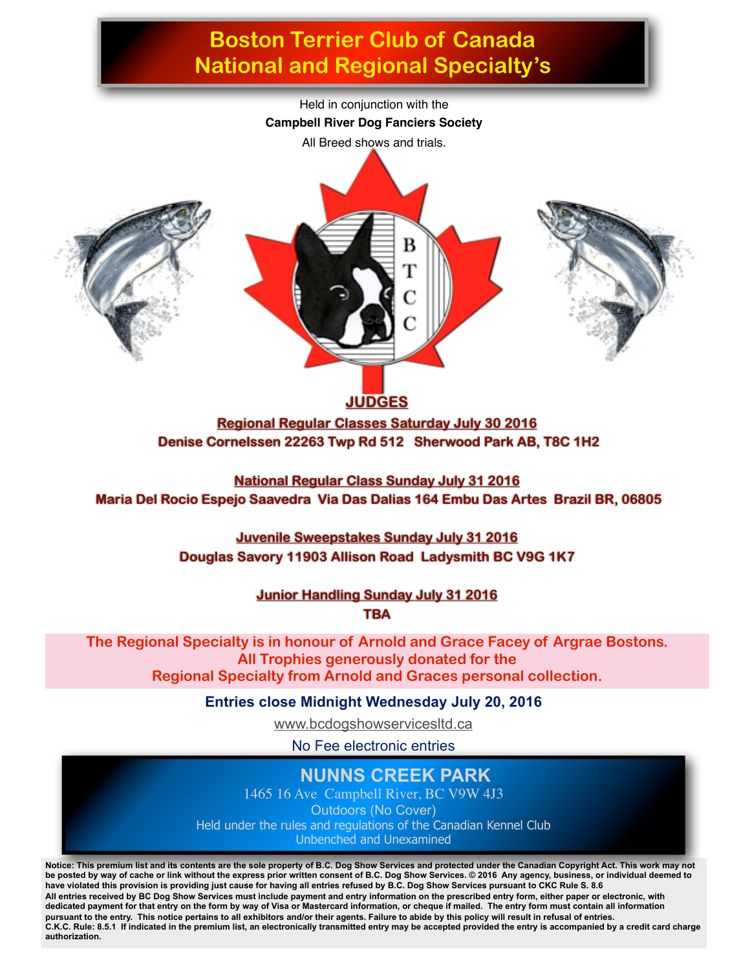## **Booton Terrier Club of Canada Boston Terrier Club of Canada National and Regional Specialty's**

Held in conjunction with the **Campbell River Dog Fanciers Society**  All Breed shows and trials.





**JUDGES**

**Regional Regular Classes Saturday July 30 2016 [Denise Cornelssen](http://www.ckc.ca/Events/Find-A-Judge/Judge.aspx?id=0000046) 22263 Twp Rd 512 Sherwood Park AB, T8C 1H2**

**National Regular Class Sunday July 31 2016 [Maria Del Rocio Espejo Saavedra](http://www.ckc.ca/Events/Find-A-Judge/Judge.aspx?id=0007837) Via Das Dalias 164 Embu Das Artes Brazil BR, 06805**

> **Juvenile Sweepstakes Sunday July 31 2016 Douglas Savory 11903 Allison Road Ladysmith BC V9G 1K7**

> > **Junior Handling Sunday July 31 2016**

**TBA**

**The Regional Specialty is in honour of Arnold and Grace Facey of Argrae Bostons. All Trophies generously donated for the Regional Specialty from Arnold and Graces personal collection.** 

**Entries close Midnight Wednesday July 20, 2016**

[www.bcdogshowservicesltd.ca](http://www.bcdogshowservicesltd.ca)

No Fee electronic entries

# **NUNNS CREEK PARK**

1465 16 Ave Campbell River, BC V9W 4J3

Outdoors (No Cover) Held under the rules and regulations of the Canadian Kennel Club

Unbenched and Unexamined

**Entries close Midnight Wednesday July 20 2016 have violated this provision is providing just cause for having all entries refused by B.C. Dog Show Services pursuant to CKC Rule S. 8.6** dedicated payment for that entry on the form by way of Visa or Mastercard information, or cheque if mailed. The entry form must contain all information **all information** pursuant to the entry. This notice pertains to all exhibitors and/or their agents. Failure to abide by this policy will result in refusal of entries.<br>C.K.C. Rule: 8.5.1 If indicated in the premium list, an electronicall **Notice: This premium list and its contents are the sole property of B.C. Dog Show Services and protected under the Canadian Copyright Act. This work may not be posted by way of cache or link without the express prior written consent of B.C. Dog Show Services. © 2016 Any agency, business, or individual deemed to All entries received by BC Dog Show Services must include payment and entry information on the prescribed entry form, either paper or electronic, with authorization.**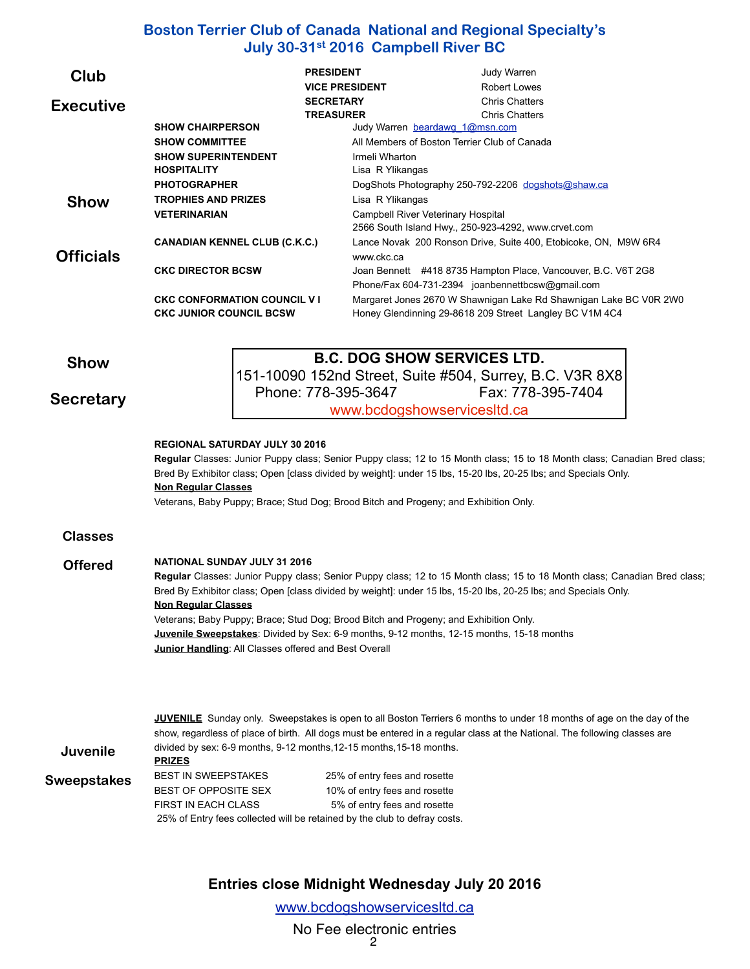| Club                                                | <b>PRESIDENT</b>                                                                                                                                                                                                                                                                                                                                                                                                                   | <b>VICE PRESIDENT</b>                                                                                                                                                                                                                                                                                   | Judy Warren<br>Robert Lowes                                                                                                                                                                                                                                                                                   |
|-----------------------------------------------------|------------------------------------------------------------------------------------------------------------------------------------------------------------------------------------------------------------------------------------------------------------------------------------------------------------------------------------------------------------------------------------------------------------------------------------|---------------------------------------------------------------------------------------------------------------------------------------------------------------------------------------------------------------------------------------------------------------------------------------------------------|---------------------------------------------------------------------------------------------------------------------------------------------------------------------------------------------------------------------------------------------------------------------------------------------------------------|
| <b>Executive</b><br><b>Show</b><br><b>Officials</b> | <b>SECRETARY</b><br><b>TREASURER</b><br><b>SHOW CHAIRPERSON</b><br><b>SHOW COMMITTEE</b><br><b>SHOW SUPERINTENDENT</b><br><b>HOSPITALITY</b><br><b>PHOTOGRAPHER</b><br><b>TROPHIES AND PRIZES</b><br><b>VETERINARIAN</b><br><b>CANADIAN KENNEL CLUB (C.K.C.)</b><br><b>CKC DIRECTOR BCSW</b><br><b>CKC CONFORMATION COUNCIL VI</b><br><b>CKC JUNIOR COUNCIL BCSW</b>                                                               | Judy Warren beardawg_1@msn.com<br>All Members of Boston Terrier Club of Canada<br>Irmeli Wharton<br>Lisa R Ylikangas<br>Lisa R Ylikangas<br>Campbell River Veterinary Hospital<br>2566 South Island Hwy., 250-923-4292, www.crvet.com<br>www.ckc.ca<br>Phone/Fax 604-731-2394 joanbennettbcsw@gmail.com | <b>Chris Chatters</b><br><b>Chris Chatters</b><br>DogShots Photography 250-792-2206 dogshots@shaw.ca<br>Lance Novak 200 Ronson Drive, Suite 400, Etobicoke, ON, M9W 6R4<br>Joan Bennett #418 8735 Hampton Place, Vancouver, B.C. V6T 2G8<br>Margaret Jones 2670 W Shawnigan Lake Rd Shawnigan Lake BC V0R 2W0 |
|                                                     |                                                                                                                                                                                                                                                                                                                                                                                                                                    |                                                                                                                                                                                                                                                                                                         | Honey Glendinning 29-8618 209 Street Langley BC V1M 4C4                                                                                                                                                                                                                                                       |
| <b>Show</b>                                         |                                                                                                                                                                                                                                                                                                                                                                                                                                    | <b>B.C. DOG SHOW SERVICES LTD.</b>                                                                                                                                                                                                                                                                      | 151-10090 152nd Street, Suite #504, Surrey, B.C. V3R 8X8                                                                                                                                                                                                                                                      |
| <b>Secretary</b>                                    | Phone: 778-395-3647                                                                                                                                                                                                                                                                                                                                                                                                                | www.bcdogshowservicesItd.ca                                                                                                                                                                                                                                                                             | Fax: 778-395-7404                                                                                                                                                                                                                                                                                             |
|                                                     | <b>REGIONAL SATURDAY JULY 30 2016</b><br>Bred By Exhibitor class; Open [class divided by weight]: under 15 lbs, 15-20 lbs, 20-25 lbs; and Specials Only.<br><b>Non Regular Classes</b><br>Veterans, Baby Puppy; Brace; Stud Dog; Brood Bitch and Progeny; and Exhibition Only.                                                                                                                                                     |                                                                                                                                                                                                                                                                                                         | Regular Classes: Junior Puppy class; Senior Puppy class; 12 to 15 Month class; 15 to 18 Month class; Canadian Bred class;                                                                                                                                                                                     |
| <b>Classes</b>                                      |                                                                                                                                                                                                                                                                                                                                                                                                                                    |                                                                                                                                                                                                                                                                                                         |                                                                                                                                                                                                                                                                                                               |
| <b>Offered</b>                                      | <b>NATIONAL SUNDAY JULY 31 2016</b><br>Bred By Exhibitor class; Open [class divided by weight]: under 15 lbs, 15-20 lbs, 20-25 lbs; and Specials Only.<br><b>Non Regular Classes</b><br>Veterans; Baby Puppy; Brace; Stud Dog; Brood Bitch and Progeny; and Exhibition Only.<br>Juvenile Sweepstakes: Divided by Sex: 6-9 months, 9-12 months, 12-15 months, 15-18 months<br>Junior Handling: All Classes offered and Best Overall |                                                                                                                                                                                                                                                                                                         | Regular Classes: Junior Puppy class; Senior Puppy class; 12 to 15 Month class; 15 to 18 Month class; Canadian Bred class;                                                                                                                                                                                     |
| Juvenile<br>Sweepstakes                             | divided by sex: 6-9 months, 9-12 months, 12-15 months, 15-18 months.<br><b>PRIZES</b><br>BEST IN SWEEPSTAKES<br>BEST OF OPPOSITE SEX<br><b>FIRST IN EACH CLASS</b><br>25% of Entry fees collected will be retained by the club to defray costs.                                                                                                                                                                                    | 25% of entry fees and rosette<br>10% of entry fees and rosette<br>5% of entry fees and rosette                                                                                                                                                                                                          | JUVENILE Sunday only. Sweepstakes is open to all Boston Terriers 6 months to under 18 months of age on the day of the<br>show, regardless of place of birth. All dogs must be entered in a regular class at the National. The following classes are                                                           |

## **Entries close Midnight Wednesday July 20 2016**

[www.bcdogshowservicesltd.ca](http://www.bcdogshowservicesltd.ca)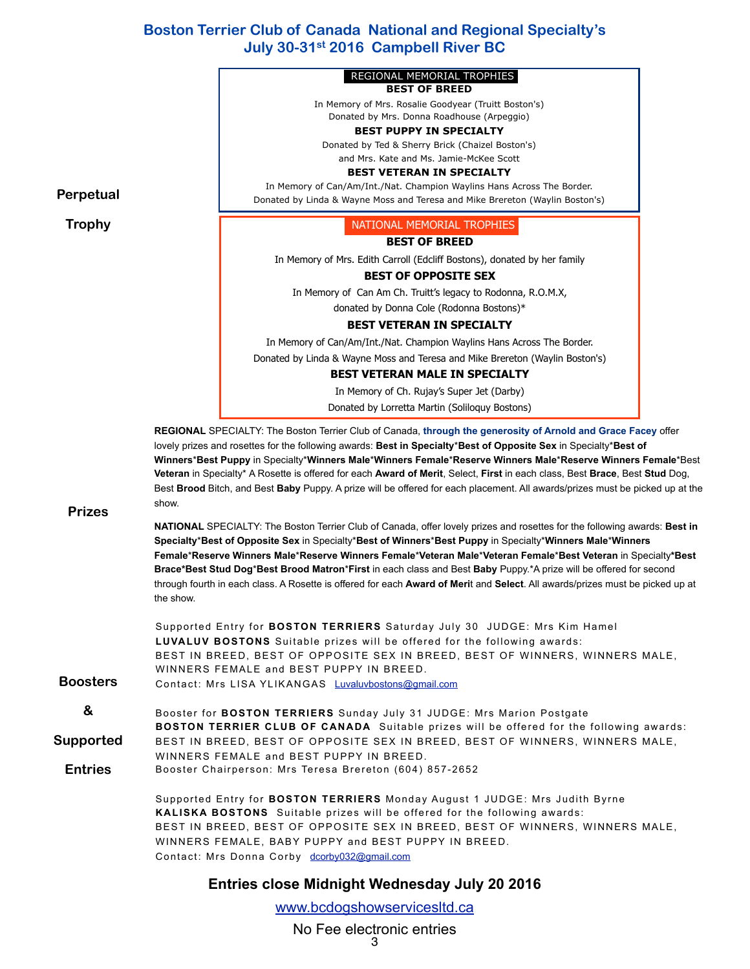$\Box$ 

REGIONAL MEMORIAL TROPHIES

٦

|                                     |  | <b>BEST OF BREED</b>                                                                                                                                                                                                                                                                                                                                                                                                                                                                                                                                                                                         |  |
|-------------------------------------|--|--------------------------------------------------------------------------------------------------------------------------------------------------------------------------------------------------------------------------------------------------------------------------------------------------------------------------------------------------------------------------------------------------------------------------------------------------------------------------------------------------------------------------------------------------------------------------------------------------------------|--|
|                                     |  | In Memory of Mrs. Rosalie Goodyear (Truitt Boston's)                                                                                                                                                                                                                                                                                                                                                                                                                                                                                                                                                         |  |
|                                     |  | Donated by Mrs. Donna Roadhouse (Arpeggio)                                                                                                                                                                                                                                                                                                                                                                                                                                                                                                                                                                   |  |
|                                     |  | <b>BEST PUPPY IN SPECIALTY</b>                                                                                                                                                                                                                                                                                                                                                                                                                                                                                                                                                                               |  |
|                                     |  | Donated by Ted & Sherry Brick (Chaizel Boston's)                                                                                                                                                                                                                                                                                                                                                                                                                                                                                                                                                             |  |
|                                     |  | and Mrs. Kate and Ms. Jamie-McKee Scott<br><b>BEST VETERAN IN SPECIALTY</b>                                                                                                                                                                                                                                                                                                                                                                                                                                                                                                                                  |  |
|                                     |  | In Memory of Can/Am/Int./Nat. Champion Waylins Hans Across The Border.                                                                                                                                                                                                                                                                                                                                                                                                                                                                                                                                       |  |
| Perpetual                           |  | Donated by Linda & Wayne Moss and Teresa and Mike Brereton (Waylin Boston's)                                                                                                                                                                                                                                                                                                                                                                                                                                                                                                                                 |  |
| <b>Trophy</b>                       |  | NATIONAL MEMORIAL TROPHIES                                                                                                                                                                                                                                                                                                                                                                                                                                                                                                                                                                                   |  |
|                                     |  | <b>BEST OF BREED</b>                                                                                                                                                                                                                                                                                                                                                                                                                                                                                                                                                                                         |  |
|                                     |  | In Memory of Mrs. Edith Carroll (Edcliff Bostons), donated by her family                                                                                                                                                                                                                                                                                                                                                                                                                                                                                                                                     |  |
|                                     |  | <b>BEST OF OPPOSITE SEX</b>                                                                                                                                                                                                                                                                                                                                                                                                                                                                                                                                                                                  |  |
|                                     |  | In Memory of Can Am Ch. Truitt's legacy to Rodonna, R.O.M.X,                                                                                                                                                                                                                                                                                                                                                                                                                                                                                                                                                 |  |
|                                     |  | donated by Donna Cole (Rodonna Bostons)*                                                                                                                                                                                                                                                                                                                                                                                                                                                                                                                                                                     |  |
|                                     |  | <b>BEST VETERAN IN SPECIALTY</b>                                                                                                                                                                                                                                                                                                                                                                                                                                                                                                                                                                             |  |
|                                     |  | In Memory of Can/Am/Int./Nat. Champion Waylins Hans Across The Border.                                                                                                                                                                                                                                                                                                                                                                                                                                                                                                                                       |  |
|                                     |  | Donated by Linda & Wayne Moss and Teresa and Mike Brereton (Waylin Boston's)                                                                                                                                                                                                                                                                                                                                                                                                                                                                                                                                 |  |
|                                     |  | <b>BEST VETERAN MALE IN SPECIALTY</b>                                                                                                                                                                                                                                                                                                                                                                                                                                                                                                                                                                        |  |
|                                     |  | In Memory of Ch. Rujay's Super Jet (Darby)                                                                                                                                                                                                                                                                                                                                                                                                                                                                                                                                                                   |  |
|                                     |  | Donated by Lorretta Martin (Soliloguy Bostons)                                                                                                                                                                                                                                                                                                                                                                                                                                                                                                                                                               |  |
| show.<br><b>Prizes</b><br>the show. |  | NATIONAL SPECIALTY: The Boston Terrier Club of Canada, offer lovely prizes and rosettes for the following awards: Best in<br>Specialty*Best of Opposite Sex in Specialty*Best of Winners*Best Puppy in Specialty*Winners Male*Winners<br>Female*Reserve Winners Male*Reserve Winners Female*Veteran Male*Veteran Female*Best Veteran in Specialty*Best<br>Brace*Best Stud Dog*Best Brood Matron*First in each class and Best Baby Puppy.*A prize will be offered for second<br>through fourth in each class. A Rosette is offered for each Award of Merit and Select. All awards/prizes must be picked up at |  |
| <b>Boosters</b>                     |  | Supported Entry for BOSTON TERRIERS Saturday July 30 JUDGE: Mrs Kim Hamel<br>LUVALUV BOSTONS Suitable prizes will be offered for the following awards:<br>BEST IN BREED, BEST OF OPPOSITE SEX IN BREED, BEST OF WINNERS, WINNERS MALE,<br>WINNERS FEMALE and BEST PUPPY IN BREED.<br>Contact: Mrs LISA YLIKANGAS Luvaluvbostons@gmail.com                                                                                                                                                                                                                                                                    |  |
| &                                   |  | Booster for BOSTON TERRIERS Sunday July 31 JUDGE: Mrs Marion Postgate                                                                                                                                                                                                                                                                                                                                                                                                                                                                                                                                        |  |
| <b>Supported</b>                    |  | BOSTON TERRIER CLUB OF CANADA Suitable prizes will be offered for the following awards:<br>BEST IN BREED, BEST OF OPPOSITE SEX IN BREED, BEST OF WINNERS, WINNERS MALE,                                                                                                                                                                                                                                                                                                                                                                                                                                      |  |
|                                     |  | WINNERS FEMALE and BEST PUPPY IN BREED.                                                                                                                                                                                                                                                                                                                                                                                                                                                                                                                                                                      |  |
| <b>Entries</b>                      |  | Booster Chairperson: Mrs Teresa Brereton (604) 857-2652                                                                                                                                                                                                                                                                                                                                                                                                                                                                                                                                                      |  |
|                                     |  | Supported Entry for <b>BOSTON TERRIERS</b> Monday August 1 JUDGE: Mrs Judith Byrne<br><b>KALISKA BOSTONS</b> Suitable prizes will be offered for the following awards:<br>BEST IN BREED, BEST OF OPPOSITE SEX IN BREED, BEST OF WINNERS, WINNERS MALE,<br>WINNERS FEMALE, BABY PUPPY and BEST PUPPY IN BREED.<br>Contact: Mrs Donna Corby dcorby032@gmail.com                                                                                                                                                                                                                                                |  |
|                                     |  | وبالمسترور والمتاريخ فسأرو فيناول الأرائية والمستراة                                                                                                                                                                                                                                                                                                                                                                                                                                                                                                                                                         |  |

## **Entries close Midnight Wednesday July 20 2016**

[www.bcdogshowservicesltd.ca](http://www.bcdogshowservicesltd.ca)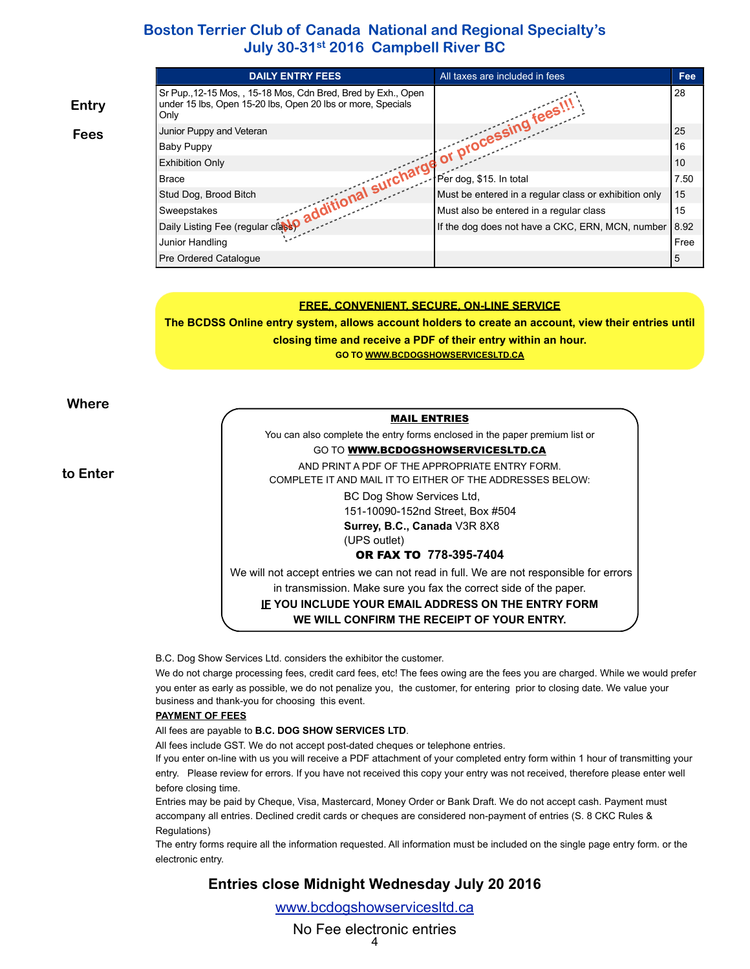|             | <b>DAILY ENTRY FEES</b>                                                                                                             | All taxes are included in fees                         | <b>Fee</b> |
|-------------|-------------------------------------------------------------------------------------------------------------------------------------|--------------------------------------------------------|------------|
| Entry       | Sr Pup., 12-15 Mos,, 15-18 Mos, Cdn Bred, Bred by Exh., Open<br>under 15 lbs, Open 15-20 lbs, Open 20 lbs or more, Specials<br>Only |                                                        | 28         |
| <b>Fees</b> | Junior Puppy and Veteran                                                                                                            |                                                        | 25         |
|             | <b>Baby Puppy</b>                                                                                                                   |                                                        | 16         |
|             | <b>Exhibition Only</b>                                                                                                              |                                                        | 10         |
|             | <b>Brace</b>                                                                                                                        | Per dog, \$15. In total                                | 7.50       |
|             | Stud Dog, Brood Bitch                                                                                                               | Must be entered in a regular class or exhibition only  | 15         |
|             | Sweepstakes                                                                                                                         | Must also be entered in a regular class                | 15         |
|             | Daily Listing Fee (regular class)                                                                                                   | If the dog does not have a CKC, ERN, MCN, number 18.92 |            |
|             | Junior Handling                                                                                                                     |                                                        | Free       |
|             | <b>Pre Ordered Cataloque</b>                                                                                                        |                                                        | 5          |

#### **FREE, CONVENIENT, SECURE, ON-LINE SERVICE**

**The BCDSS Online entry system, allows account holders to create an account, view their entries until** 

**closing time and receive a PDF of their entry within an hour.** 

**GO TO [WWW.BCDOGSHOWSERVICESLTD.CA](http://WWW.BCDOGSHOWSERVICESLTD.CA)**

**Where** 

**to Enter**

#### MAIL ENTRIES

You can also complete the entry forms enclosed in the paper premium list or

#### GO TO **[WWW.BCDOGSHOWSERVICESLTD.CA](http://WWW.BCDOGSHOWSERVICESLTD.CA)**

AND PRINT A PDF OF THE APPROPRIATE ENTRY FORM. COMPLETE IT AND MAIL IT TO EITHER OF THE ADDRESSES BELOW:

> BC Dog Show Services Ltd, 151-10090-152nd Street, Box #504 **Surrey, B.C., Canada** V3R 8X8 (UPS outlet)

#### OR FAX TO **778-395-7404**

 We will not accept entries we can not read in full. We are not responsible for errors in transmission. Make sure you fax the correct side of the paper.

**IF YOU INCLUDE YOUR EMAIL ADDRESS ON THE ENTRY FORM** 

**WE WILL CONFIRM THE RECEIPT OF YOUR ENTRY.**

B.C. Dog Show Services Ltd. considers the exhibitor the customer.

We do not charge processing fees, credit card fees, etc! The fees owing are the fees you are charged. While we would prefer you enter as early as possible, we do not penalize you, the customer, for entering prior to closing date. We value your business and thank-you for choosing this event.

#### **PAYMENT OF FEES**

#### All fees are payable to **B.C. DOG SHOW SERVICES LTD**.

All fees include GST. We do not accept post-dated cheques or telephone entries.

If you enter on-line with us you will receive a PDF attachment of your completed entry form within 1 hour of transmitting your entry. Please review for errors. If you have not received this copy your entry was not received, therefore please enter well before closing time.

Entries may be paid by Cheque, Visa, Mastercard, Money Order or Bank Draft. We do not accept cash. Payment must accompany all entries. Declined credit cards or cheques are considered non-payment of entries (S. 8 CKC Rules & Regulations)

The entry forms require all the information requested. All information must be included on the single page entry form. or the electronic entry.

## **Entries close Midnight Wednesday July 20 2016**

[www.bcdogshowservicesltd.ca](http://www.bcdogshowservicesltd.ca)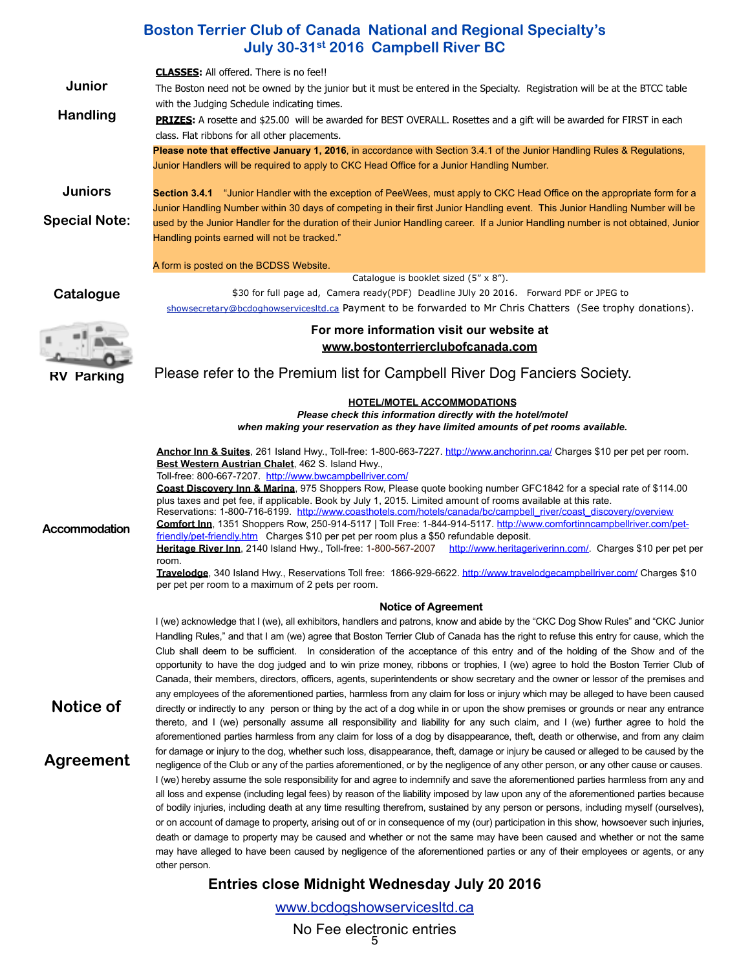|                      | <b>CLASSES:</b> All offered. There is no fee!!                                                                                                                                                                                                                       |
|----------------------|----------------------------------------------------------------------------------------------------------------------------------------------------------------------------------------------------------------------------------------------------------------------|
| Junior               | The Boston need not be owned by the junior but it must be entered in the Specialty. Registration will be at the BTCC table                                                                                                                                           |
| <b>Handling</b>      | with the Judging Schedule indicating times.                                                                                                                                                                                                                          |
|                      | <b>PRIZES:</b> A rosette and \$25.00 will be awarded for BEST OVERALL. Rosettes and a gift will be awarded for FIRST in each                                                                                                                                         |
|                      | class. Flat ribbons for all other placements.                                                                                                                                                                                                                        |
|                      | Please note that effective January 1, 2016, in accordance with Section 3.4.1 of the Junior Handling Rules & Regulations,<br>Junior Handlers will be required to apply to CKC Head Office for a Junior Handling Number.                                               |
|                      |                                                                                                                                                                                                                                                                      |
| <b>Juniors</b>       | Section 3.4.1 "Junior Handler with the exception of PeeWees, must apply to CKC Head Office on the appropriate form for a                                                                                                                                             |
|                      | Junior Handling Number within 30 days of competing in their first Junior Handling event. This Junior Handling Number will be                                                                                                                                         |
| <b>Special Note:</b> | used by the Junior Handler for the duration of their Junior Handling career. If a Junior Handling number is not obtained, Junior                                                                                                                                     |
|                      | Handling points earned will not be tracked."                                                                                                                                                                                                                         |
|                      | A form is posted on the BCDSS Website.                                                                                                                                                                                                                               |
|                      | Catalogue is booklet sized (5" x 8").                                                                                                                                                                                                                                |
| Catalogue            | \$30 for full page ad, Camera ready(PDF) Deadline JUly 20 2016. Forward PDF or JPEG to                                                                                                                                                                               |
|                      | showsecretary@bcdoghowservicesItd.ca Payment to be forwarded to Mr Chris Chatters (See trophy donations).                                                                                                                                                            |
|                      | For more information visit our website at                                                                                                                                                                                                                            |
|                      | www.bostonterrierclubofcanada.com                                                                                                                                                                                                                                    |
|                      |                                                                                                                                                                                                                                                                      |
| <b>RV Parking</b>    | Please refer to the Premium list for Campbell River Dog Fanciers Society.                                                                                                                                                                                            |
|                      |                                                                                                                                                                                                                                                                      |
|                      | <b>HOTEL/MOTEL ACCOMMODATIONS</b><br>Please check this information directly with the hotel/motel                                                                                                                                                                     |
|                      | when making your reservation as they have limited amounts of pet rooms available.                                                                                                                                                                                    |
|                      | Anchor Inn & Suites, 261 Island Hwy., Toll-free: 1-800-663-7227. http://www.anchorinn.ca/ Charges \$10 per pet per room.                                                                                                                                             |
|                      | Best Western Austrian Chalet, 462 S. Island Hwy.,                                                                                                                                                                                                                    |
|                      | Toll-free: 800-667-7207. http://www.bwcampbellriver.com/                                                                                                                                                                                                             |
|                      | Coast Discovery Inn & Marina, 975 Shoppers Row, Please quote booking number GFC1842 for a special rate of \$114.00<br>plus taxes and pet fee, if applicable. Book by July 1, 2015. Limited amount of rooms available at this rate.                                   |
|                      | Reservations: 1-800-716-6199. http://www.coasthotels.com/hotels/canada/bc/campbell_river/coast_discovery/overview                                                                                                                                                    |
| Accommodation        | Comfort Inn, 1351 Shoppers Row, 250-914-5117   Toll Free: 1-844-914-5117. http://www.comfortinncampbellriver.com/pet-                                                                                                                                                |
|                      | friendly/pet-friendly.htm Charges \$10 per pet per room plus a \$50 refundable deposit.<br>Heritage River Inn. 2140 Island Hwy., Toll-free: 1-800-567-2007 http://www.heritageriverinn.com/. Charges \$10 per pet per                                                |
|                      | room.                                                                                                                                                                                                                                                                |
|                      | Travelodge, 340 Island Hwy., Reservations Toll free: 1866-929-6622. http://www.travelodgecampbellriver.com/ Charges \$10<br>per pet per room to a maximum of 2 pets per room.                                                                                        |
|                      |                                                                                                                                                                                                                                                                      |
|                      | <b>Notice of Agreement</b>                                                                                                                                                                                                                                           |
|                      | I (we) acknowledge that I (we), all exhibitors, handlers and patrons, know and abide by the "CKC Dog Show Rules" and "CKC Junior                                                                                                                                     |
|                      | Handling Rules," and that I am (we) agree that Boston Terrier Club of Canada has the right to refuse this entry for cause, which the<br>Club shall deem to be sufficient. In consideration of the acceptance of this entry and of the holding of the Show and of the |
|                      | opportunity to have the dog judged and to win prize money, ribbons or trophies, I (we) agree to hold the Boston Terrier Club of                                                                                                                                      |
|                      | Canada, their members, directors, officers, agents, superintendents or show secretary and the owner or lessor of the premises and                                                                                                                                    |
|                      | any employees of the aforementioned parties, harmless from any claim for loss or injury which may be alleged to have been caused                                                                                                                                     |
| <b>Notice of</b>     | directly or indirectly to any person or thing by the act of a dog while in or upon the show premises or grounds or near any entrance                                                                                                                                 |
|                      | thereto, and I (we) personally assume all responsibility and liability for any such claim, and I (we) further agree to hold the<br>aforementioned parties harmless from any claim for loss of a dog by disappearance, theft, death or otherwise, and from any claim  |
|                      | for damage or injury to the dog, whether such loss, disappearance, theft, damage or injury be caused or alleged to be caused by the                                                                                                                                  |
| Agreement            | negligence of the Club or any of the parties aforementioned, or by the negligence of any other person, or any other cause or causes.                                                                                                                                 |
|                      | I (we) hereby assume the sole responsibility for and agree to indemnify and save the aforementioned parties harmless from any and                                                                                                                                    |
|                      | all loss and expense (including legal fees) by reason of the liability imposed by law upon any of the aforementioned parties because                                                                                                                                 |
|                      | of bodily injuries, including death at any time resulting therefrom, sustained by any person or persons, including myself (ourselves),                                                                                                                               |
|                      | or on account of damage to property, arising out of or in consequence of my (our) participation in this show, howsoever such injuries,                                                                                                                               |
|                      | death or damage to property may be caused and whether or not the same may have been caused and whether or not the same<br>may have alleged to have been caused by negligence of the aforementioned parties or any of their employees or agents, or any               |
|                      | other person.                                                                                                                                                                                                                                                        |
|                      | Entries close Midnight Wednesday July 20 2016                                                                                                                                                                                                                        |
|                      |                                                                                                                                                                                                                                                                      |

[www.bcdogshowservicesltd.ca](http://www.bcdogshowservicesltd.ca)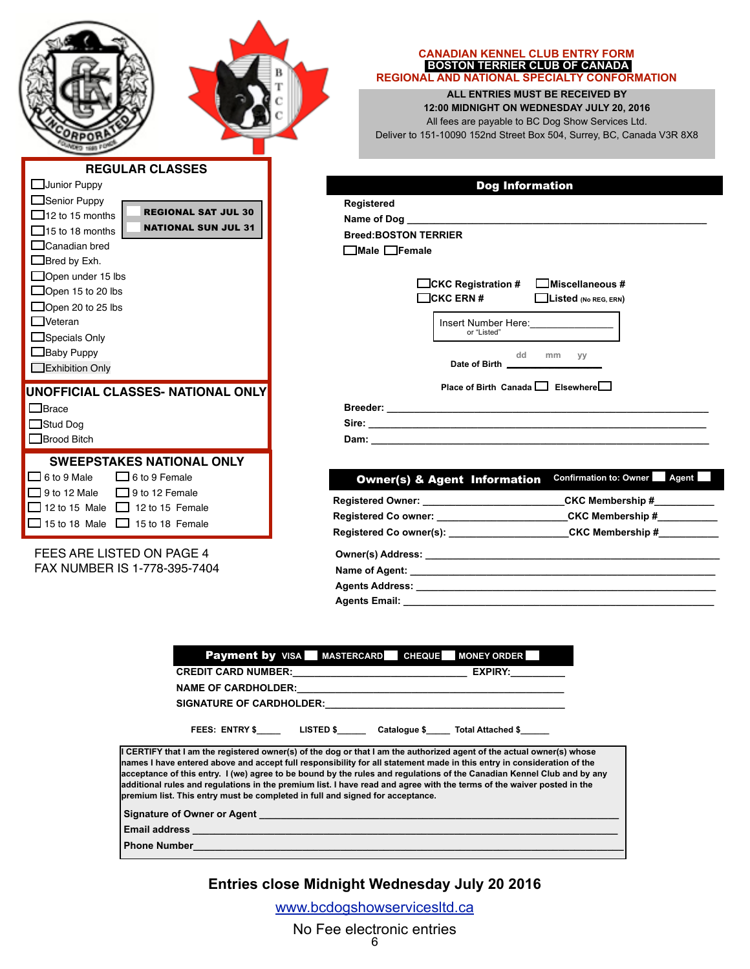|                                                                                                                                                                                                                       | <b>CANADIAN KENNEL CLUB ENTRY FORM</b><br><b>BOSTON TERRIER CLUB OF CANADA</b><br><b>REGIONAL AND NATIONAL SPECIALTY CONFORMATION</b><br>ALL ENTRIES MUST BE RECEIVED BY<br>12:00 MIDNIGHT ON WEDNESDAY JULY 20, 2016<br>All fees are payable to BC Dog Show Services Ltd.<br>Deliver to 151-10090 152nd Street Box 504, Surrey, BC, Canada V3R 8X8                                                                                                                                                                                                            |
|-----------------------------------------------------------------------------------------------------------------------------------------------------------------------------------------------------------------------|----------------------------------------------------------------------------------------------------------------------------------------------------------------------------------------------------------------------------------------------------------------------------------------------------------------------------------------------------------------------------------------------------------------------------------------------------------------------------------------------------------------------------------------------------------------|
| <b>REGULAR CLASSES</b><br>Junior Puppy<br>Senior Puppy<br><b>REGIONAL SAT JUL 30</b><br>$\Box$ 12 to 15 months<br><b>NATIONAL SUN JUL 31</b><br>$\Box$ 15 to 18 months<br>$\Box$ Canadian bred<br>$\Box$ Bred by Exh. | <b>Dog Information</b><br>Registered<br><b>Breed:BOSTON TERRIER</b><br>$\Box$ Male $\Box$ Female                                                                                                                                                                                                                                                                                                                                                                                                                                                               |
| $\Box$ Open under 15 lbs<br>$\Box$ Open 15 to 20 lbs<br>$\Box$ Open 20 to 25 lbs<br>$\Box$ Veteran<br>Specials Only<br>Baby Puppy<br>$\Box$ Exhibition Only<br>UNOFFICIAL CLASSES- NATIONAL ONLY                      | $\Box$ Miscellaneous #<br>$\Box$ CKC Registration #<br>$\Box$ CKC ERN #<br>Listed (No REG, ERN)<br>Insert Number Here: _______________<br>or "Listed"<br>Date of Birth dd mm yy<br>Place of Birth Canada $\Box$ Elsewhere $\Box$                                                                                                                                                                                                                                                                                                                               |
| $\Box$ Brace<br>$\Box$ Stud Dog<br>$\Box$ Brood Bitch<br><b>SWEEPSTAKES NATIONAL ONLY</b><br>$\Box$ 6 to 9 Male<br>$\Box$ 6 to 9 Female                                                                               | Confirmation to: Owner Agent<br><b>Owner(s) &amp; Agent Information</b>                                                                                                                                                                                                                                                                                                                                                                                                                                                                                        |
| $\Box$ 9 to 12 Male<br>$\Box$ 9 to 12 Female<br>$\Box$ 12 to 15 Male $\Box$ 12 to 15 Female<br>$\Box$ 15 to 18 Male $\Box$ 15 to 18 Female<br>FEES ARE LISTED ON PAGE 4<br>FAX NUMBER IS 1-778-395-7404               | CKC Membership #<br><b>CKC Membership #</b><br>Registered Co owner(s): _______<br>CKC Membership #_______                                                                                                                                                                                                                                                                                                                                                                                                                                                      |
|                                                                                                                                                                                                                       | MONEY ORDER<br><b>Payment by VISA</b> MASTERCARD CHEQUE<br><b>EXPIRY:</b>                                                                                                                                                                                                                                                                                                                                                                                                                                                                                      |
| premium list. This entry must be completed in full and signed for acceptance.                                                                                                                                         | FEES: ENTRY \$ LISTED \$ Catalogue \$ Total Attached \$<br>I CERTIFY that I am the registered owner(s) of the dog or that I am the authorized agent of the actual owner(s) whose<br>names I have entered above and accept full responsibility for all statement made in this entry in consideration of the<br>acceptance of this entry. I (we) agree to be bound by the rules and regulations of the Canadian Kennel Club and by any<br>additional rules and regulations in the premium list. I have read and agree with the terms of the waiver posted in the |

Signature of Owner or Agent

**Email address** 

**Phone Number\_\_\_\_\_\_\_\_\_\_\_\_\_\_\_\_\_\_\_\_\_\_\_\_\_\_\_\_\_\_\_\_\_\_\_\_\_\_\_\_\_\_\_\_\_\_\_\_\_\_\_\_\_\_\_\_\_\_\_\_\_\_\_\_\_\_\_\_\_\_\_\_\_\_\_\_\_\_\_**

## **Entries close Midnight Wednesday July 20 2016**

[www.bcdogshowservicesltd.ca](http://www.bcdogshowservicesltd.ca)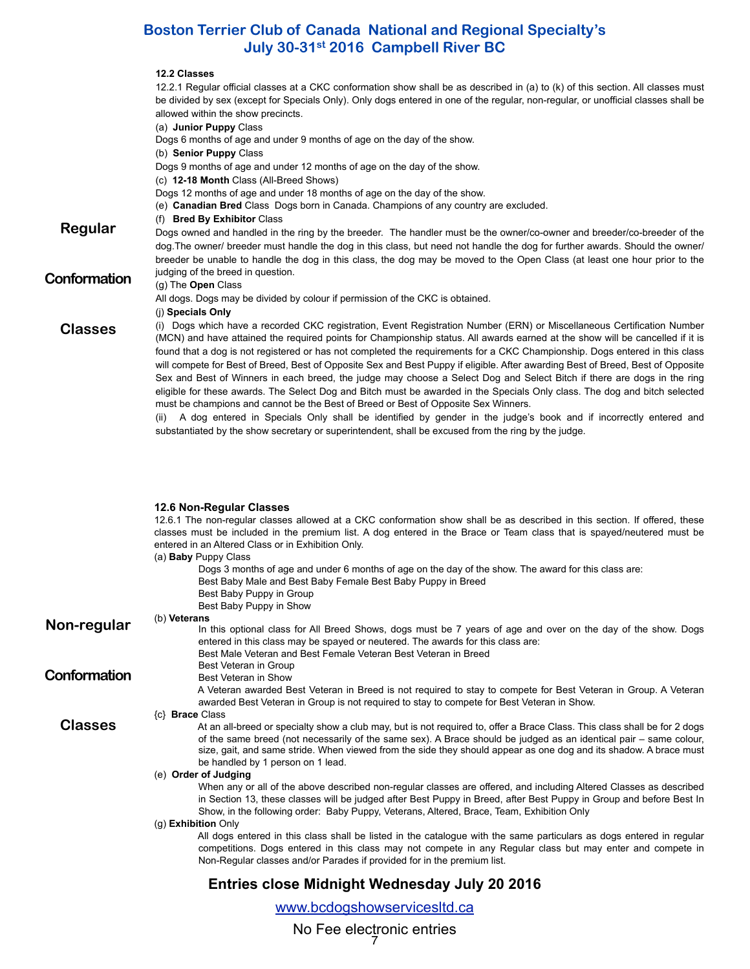#### **12.2 Classes**

**Regular Conformation Classes** 12.2.1 Regular official classes at a CKC conformation show shall be as described in (a) to (k) of this section. All classes must be divided by sex (except for Specials Only). Only dogs entered in one of the regular, non-regular, or unofficial classes shall be allowed within the show precincts. (a) **Junior Puppy** Class Dogs 6 months of age and under 9 months of age on the day of the show. (b) **Senior Puppy** Class Dogs 9 months of age and under 12 months of age on the day of the show. (c) **12-18 Month** Class (All-Breed Shows) Dogs 12 months of age and under 18 months of age on the day of the show. (e) **Canadian Bred** Class Dogs born in Canada. Champions of any country are excluded. (f) **Bred By Exhibitor** Class Dogs owned and handled in the ring by the breeder. The handler must be the owner/co-owner and breeder/co-breeder of the dog.The owner/ breeder must handle the dog in this class, but need not handle the dog for further awards. Should the owner/ breeder be unable to handle the dog in this class, the dog may be moved to the Open Class (at least one hour prior to the judging of the breed in question. (g) The **Open** Class All dogs. Dogs may be divided by colour if permission of the CKC is obtained. (j) **Specials Only** (i) Dogs which have a recorded CKC registration, Event Registration Number (ERN) or Miscellaneous Certification Number (MCN) and have attained the required points for Championship status. All awards earned at the show will be cancelled if it is found that a dog is not registered or has not completed the requirements for a CKC Championship. Dogs entered in this class will compete for Best of Breed, Best of Opposite Sex and Best Puppy if eligible. After awarding Best of Breed, Best of Opposite Sex and Best of Winners in each breed, the judge may choose a Select Dog and Select Bitch if there are dogs in the ring eligible for these awards. The Select Dog and Bitch must be awarded in the Specials Only class. The dog and bitch selected must be champions and cannot be the Best of Breed or Best of Opposite Sex Winners. (ii) A dog entered in Specials Only shall be identified by gender in the judge's book and if incorrectly entered and substantiated by the show secretary or superintendent, shall be excused from the ring by the judge.

#### **12.6 Non-Regular Classes**

**Non-regular Conformation Classes** 12.6.1 The non-regular classes allowed at a CKC conformation show shall be as described in this section. If offered, these classes must be included in the premium list. A dog entered in the Brace or Team class that is spayed/neutered must be entered in an Altered Class or in Exhibition Only. (a) **Baby** Puppy Class Dogs 3 months of age and under 6 months of age on the day of the show. The award for this class are: Best Baby Male and Best Baby Female Best Baby Puppy in Breed Best Baby Puppy in Group Best Baby Puppy in Show (b) **Veterans** In this optional class for All Breed Shows, dogs must be 7 years of age and over on the day of the show. Dogs entered in this class may be spayed or neutered. The awards for this class are: Best Male Veteran and Best Female Veteran Best Veteran in Breed Best Veteran in Group Best Veteran in Show A Veteran awarded Best Veteran in Breed is not required to stay to compete for Best Veteran in Group. A Veteran awarded Best Veteran in Group is not required to stay to compete for Best Veteran in Show. {c} **Brace** Class At an all-breed or specialty show a club may, but is not required to, offer a Brace Class. This class shall be for 2 dogs of the same breed (not necessarily of the same sex). A Brace should be judged as an identical pair – same colour, size, gait, and same stride. When viewed from the side they should appear as one dog and its shadow. A brace must be handled by 1 person on 1 lead. (e) **Order of Judging** When any or all of the above described non-regular classes are offered, and including Altered Classes as described in Section 13, these classes will be judged after Best Puppy in Breed, after Best Puppy in Group and before Best In Show, in the following order: Baby Puppy, Veterans, Altered, Brace, Team, Exhibition Only (g) **Exhibition** Only All dogs entered in this class shall be listed in the catalogue with the same particulars as dogs entered in regular competitions. Dogs entered in this class may not compete in any Regular class but may enter and compete in Non-Regular classes and/or Parades if provided for in the premium list.

## **Entries close Midnight Wednesday July 20 2016**

[www.bcdogshowservicesltd.ca](http://www.bcdogshowservicesltd.ca)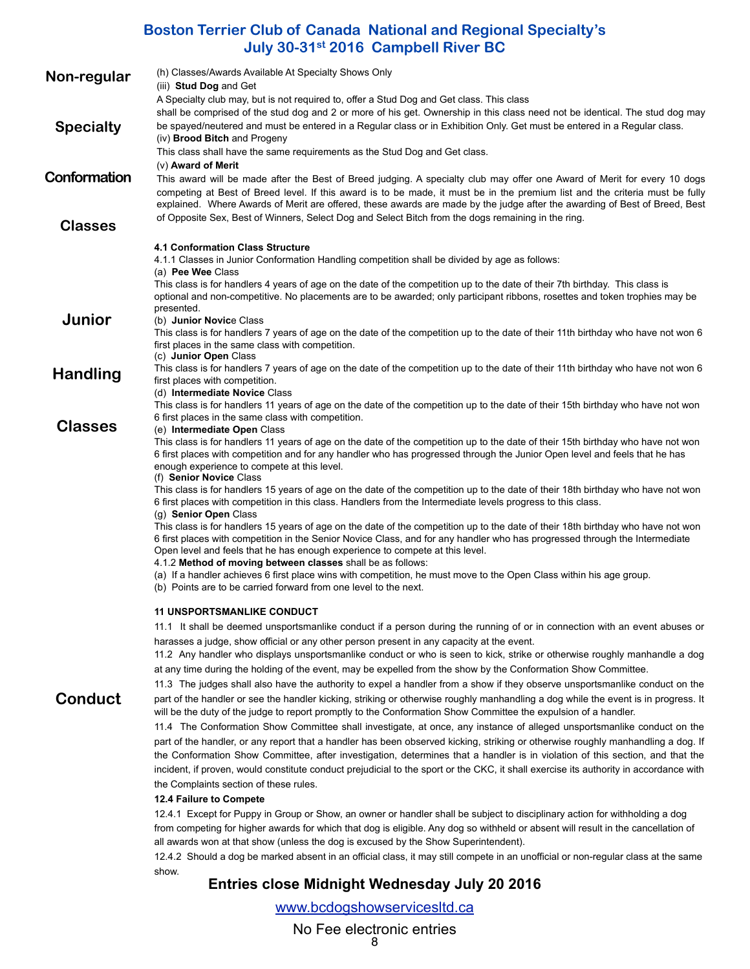| Non-regular      | (h) Classes/Awards Available At Specialty Shows Only<br>(iii) Stud Dog and Get                                                                                                                                                                                                                                                                                                                             |
|------------------|------------------------------------------------------------------------------------------------------------------------------------------------------------------------------------------------------------------------------------------------------------------------------------------------------------------------------------------------------------------------------------------------------------|
|                  | A Specialty club may, but is not required to, offer a Stud Dog and Get class. This class<br>shall be comprised of the stud dog and 2 or more of his get. Ownership in this class need not be identical. The stud dog may                                                                                                                                                                                   |
| <b>Specialty</b> | be spayed/neutered and must be entered in a Regular class or in Exhibition Only. Get must be entered in a Regular class.<br>(iv) Brood Bitch and Progeny                                                                                                                                                                                                                                                   |
|                  | This class shall have the same requirements as the Stud Dog and Get class.<br>(v) Award of Merit                                                                                                                                                                                                                                                                                                           |
| Conformation     | This award will be made after the Best of Breed judging. A specialty club may offer one Award of Merit for every 10 dogs<br>competing at Best of Breed level. If this award is to be made, it must be in the premium list and the criteria must be fully<br>explained. Where Awards of Merit are offered, these awards are made by the judge after the awarding of Best of Breed, Best                     |
| <b>Classes</b>   | of Opposite Sex, Best of Winners, Select Dog and Select Bitch from the dogs remaining in the ring.                                                                                                                                                                                                                                                                                                         |
|                  | 4.1 Conformation Class Structure                                                                                                                                                                                                                                                                                                                                                                           |
|                  | 4.1.1 Classes in Junior Conformation Handling competition shall be divided by age as follows:<br>(a) Pee Wee Class                                                                                                                                                                                                                                                                                         |
|                  | This class is for handlers 4 years of age on the date of the competition up to the date of their 7th birthday. This class is<br>optional and non-competitive. No placements are to be awarded; only participant ribbons, rosettes and token trophies may be<br>presented.                                                                                                                                  |
| <b>Junior</b>    | (b) Junior Novice Class                                                                                                                                                                                                                                                                                                                                                                                    |
|                  | This class is for handlers 7 years of age on the date of the competition up to the date of their 11th birthday who have not won 6<br>first places in the same class with competition.<br>(c) Junior Open Class                                                                                                                                                                                             |
| <b>Handling</b>  | This class is for handlers 7 years of age on the date of the competition up to the date of their 11th birthday who have not won 6                                                                                                                                                                                                                                                                          |
|                  | first places with competition.                                                                                                                                                                                                                                                                                                                                                                             |
|                  | (d) Intermediate Novice Class<br>This class is for handlers 11 years of age on the date of the competition up to the date of their 15th birthday who have not won                                                                                                                                                                                                                                          |
| <b>Classes</b>   | 6 first places in the same class with competition.                                                                                                                                                                                                                                                                                                                                                         |
|                  | (e) Intermediate Open Class                                                                                                                                                                                                                                                                                                                                                                                |
|                  | This class is for handlers 11 years of age on the date of the competition up to the date of their 15th birthday who have not won<br>6 first places with competition and for any handler who has progressed through the Junior Open level and feels that he has                                                                                                                                             |
|                  | enough experience to compete at this level.                                                                                                                                                                                                                                                                                                                                                                |
|                  | (f) Senior Novice Class<br>This class is for handlers 15 years of age on the date of the competition up to the date of their 18th birthday who have not won                                                                                                                                                                                                                                                |
|                  | 6 first places with competition in this class. Handlers from the Intermediate levels progress to this class.<br>(g) Senior Open Class                                                                                                                                                                                                                                                                      |
|                  | This class is for handlers 15 years of age on the date of the competition up to the date of their 18th birthday who have not won<br>6 first places with competition in the Senior Novice Class, and for any handler who has progressed through the Intermediate<br>Open level and feels that he has enough experience to compete at this level.                                                            |
|                  | 4.1.2 Method of moving between classes shall be as follows:                                                                                                                                                                                                                                                                                                                                                |
|                  | (a) If a handler achieves 6 first place wins with competition, he must move to the Open Class within his age group.<br>(b) Points are to be carried forward from one level to the next.                                                                                                                                                                                                                    |
|                  | <b>11 UNSPORTSMANLIKE CONDUCT</b>                                                                                                                                                                                                                                                                                                                                                                          |
|                  | 11.1 It shall be deemed unsportsmanlike conduct if a person during the running of or in connection with an event abuses or<br>harasses a judge, show official or any other person present in any capacity at the event.                                                                                                                                                                                    |
|                  | 11.2 Any handler who displays unsportsmanlike conduct or who is seen to kick, strike or otherwise roughly manhandle a dog<br>at any time during the holding of the event, may be expelled from the show by the Conformation Show Committee.                                                                                                                                                                |
| <b>Conduct</b>   | 11.3 The judges shall also have the authority to expel a handler from a show if they observe unsportsmanlike conduct on the<br>part of the handler or see the handler kicking, striking or otherwise roughly manhandling a dog while the event is in progress. It<br>will be the duty of the judge to report promptly to the Conformation Show Committee the expulsion of a handler.                       |
|                  | 11.4 The Conformation Show Committee shall investigate, at once, any instance of alleged unsportsmanlike conduct on the                                                                                                                                                                                                                                                                                    |
|                  | part of the handler, or any report that a handler has been observed kicking, striking or otherwise roughly manhandling a dog. If<br>the Conformation Show Committee, after investigation, determines that a handler is in violation of this section, and that the<br>incident, if proven, would constitute conduct prejudicial to the sport or the CKC, it shall exercise its authority in accordance with |
|                  | the Complaints section of these rules.                                                                                                                                                                                                                                                                                                                                                                     |
|                  | 12.4 Failure to Compete                                                                                                                                                                                                                                                                                                                                                                                    |
|                  | 12.4.1 Except for Puppy in Group or Show, an owner or handler shall be subject to disciplinary action for withholding a dog                                                                                                                                                                                                                                                                                |
|                  | from competing for higher awards for which that dog is eligible. Any dog so withheld or absent will result in the cancellation of<br>all awards won at that show (unless the dog is excused by the Show Superintendent).                                                                                                                                                                                   |

12.4.2 Should a dog be marked absent in an official class, it may still compete in an unofficial or non-regular class at the same show.

## **Entries close Midnight Wednesday July 20 2016**

[www.bcdogshowservicesltd.ca](http://www.bcdogshowservicesltd.ca)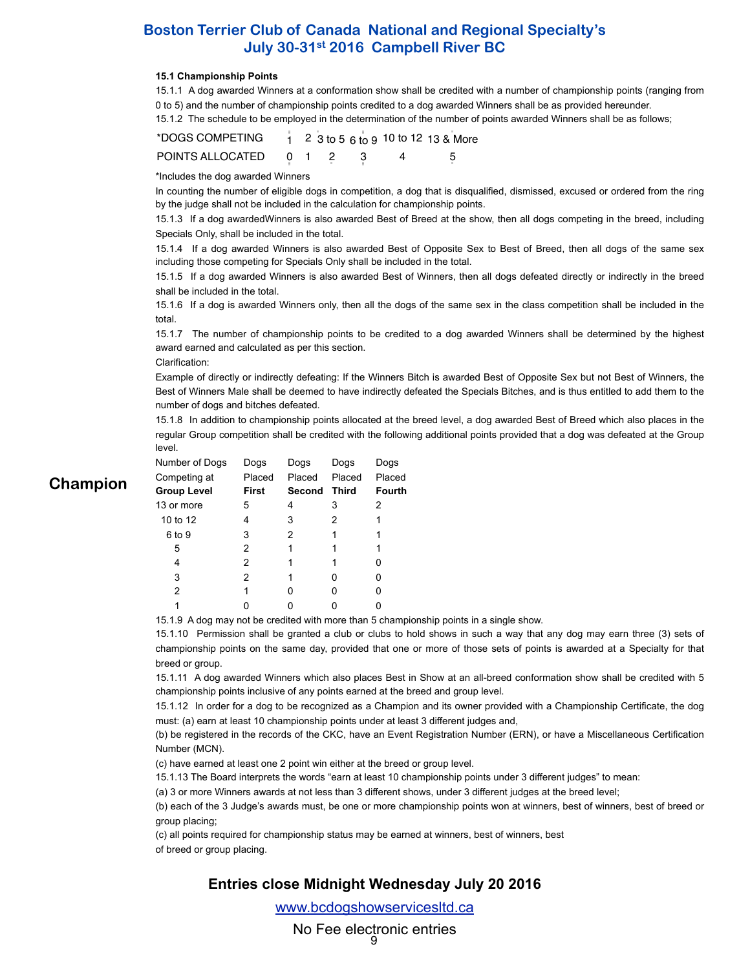#### **15.1 Championship Points**

15.1.1 A dog awarded Winners at a conformation show shall be credited with a number of championship points (ranging from 0 to 5) and the number of championship points credited to a dog awarded Winners shall be as provided hereunder. 15.1.2 The schedule to be employed in the determination of the number of points awarded Winners shall be as follows;

\*DOGS COMPETING  $1 \quad 2 \quad 3 \text{ to } 5 \quad 6 \text{ to } 9 \quad 10 \text{ to } 12 \quad 13 \text{ & More}$ POINTS ALLOCATED 0 1 2 3 4 5

\*Includes the dog awarded Winners

In counting the number of eligible dogs in competition, a dog that is disqualified, dismissed, excused or ordered from the ring by the judge shall not be included in the calculation for championship points.

15.1.3 If a dog awardedWinners is also awarded Best of Breed at the show, then all dogs competing in the breed, including Specials Only, shall be included in the total.

15.1.4 If a dog awarded Winners is also awarded Best of Opposite Sex to Best of Breed, then all dogs of the same sex including those competing for Specials Only shall be included in the total.

15.1.5 If a dog awarded Winners is also awarded Best of Winners, then all dogs defeated directly or indirectly in the breed shall be included in the total.

15.1.6 If a dog is awarded Winners only, then all the dogs of the same sex in the class competition shall be included in the total.

15.1.7 The number of championship points to be credited to a dog awarded Winners shall be determined by the highest award earned and calculated as per this section.

Clarification:

Example of directly or indirectly defeating: If the Winners Bitch is awarded Best of Opposite Sex but not Best of Winners, the Best of Winners Male shall be deemed to have indirectly defeated the Specials Bitches, and is thus entitled to add them to the number of dogs and bitches defeated.

15.1.8 In addition to championship points allocated at the breed level, a dog awarded Best of Breed which also places in the regular Group competition shall be credited with the following additional points provided that a dog was defeated at the Group level.

## **Champion**

| Number of Dogs     | Dogs         | Dogs         | Dogs   | Dogs   |
|--------------------|--------------|--------------|--------|--------|
| Competing at       | Placed       | Placed       | Placed | Placed |
| <b>Group Level</b> | <b>First</b> | Second Third |        | Fourth |
| 13 or more         | 5            | 4            | 3      | 2      |
| 10 to 12           | 4            | 3            | 2      |        |
| 6 to 9             | 3            | 2            | 1      |        |
| 5                  | 2            |              |        |        |
| 4                  | 2            |              |        |        |
| 3                  | 2            |              | Ω      | O      |
| 2                  | 1            |              | ი      |        |
|                    |              |              |        |        |
|                    |              |              |        |        |

15.1.9 A dog may not be credited with more than 5 championship points in a single show.

15.1.10 Permission shall be granted a club or clubs to hold shows in such a way that any dog may earn three (3) sets of championship points on the same day, provided that one or more of those sets of points is awarded at a Specialty for that breed or group.

15.1.11 A dog awarded Winners which also places Best in Show at an all-breed conformation show shall be credited with 5 championship points inclusive of any points earned at the breed and group level.

15.1.12 In order for a dog to be recognized as a Champion and its owner provided with a Championship Certificate, the dog must: (a) earn at least 10 championship points under at least 3 different judges and,

(b) be registered in the records of the CKC, have an Event Registration Number (ERN), or have a Miscellaneous Certification Number (MCN).

(c) have earned at least one 2 point win either at the breed or group level.

15.1.13 The Board interprets the words "earn at least 10 championship points under 3 different judges" to mean:

(a) 3 or more Winners awards at not less than 3 different shows, under 3 different judges at the breed level;

(b) each of the 3 Judge's awards must, be one or more championship points won at winners, best of winners, best of breed or group placing;

(c) all points required for championship status may be earned at winners, best of winners, best of breed or group placing.

## **Entries close Midnight Wednesday July 20 2016**

[www.bcdogshowservicesltd.ca](http://www.bcdogshowservicesltd.ca)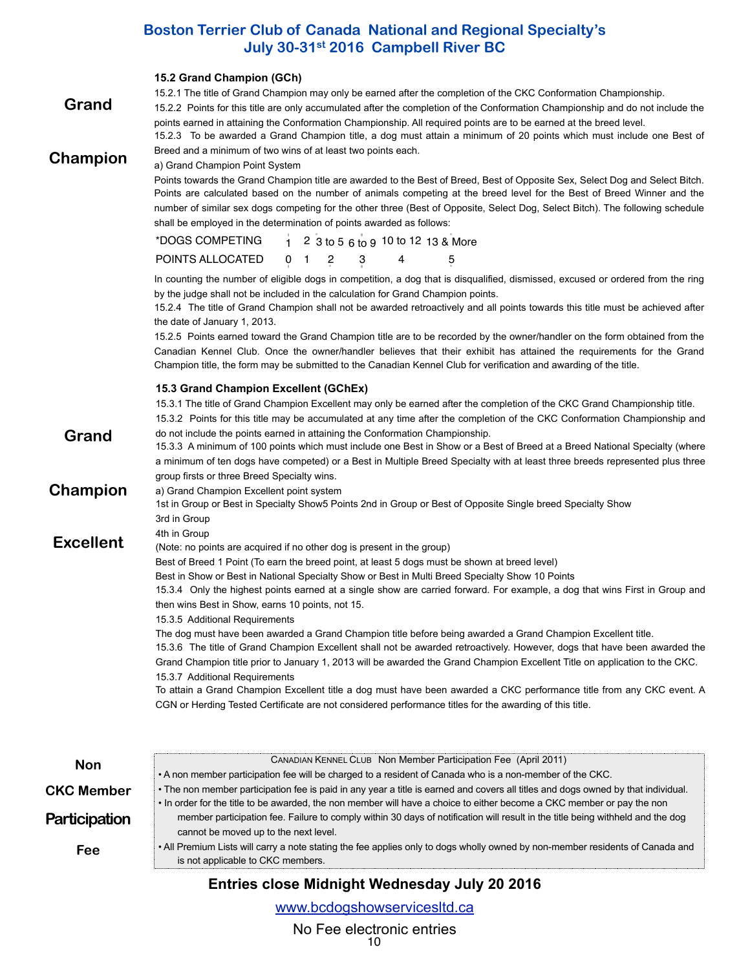| Grand<br>Champion | 15.2 Grand Champion (GCh)<br>15.2.1 The title of Grand Champion may only be earned after the completion of the CKC Conformation Championship.<br>15.2.2 Points for this title are only accumulated after the completion of the Conformation Championship and do not include the<br>points earned in attaining the Conformation Championship. All required points are to be earned at the breed level.<br>15.2.3 To be awarded a Grand Champion title, a dog must attain a minimum of 20 points which must include one Best of<br>Breed and a minimum of two wins of at least two points each.<br>a) Grand Champion Point System<br>Points towards the Grand Champion title are awarded to the Best of Breed, Best of Opposite Sex, Select Dog and Select Bitch.<br>Points are calculated based on the number of animals competing at the breed level for the Best of Breed Winner and the<br>number of similar sex dogs competing for the other three (Best of Opposite, Select Dog, Select Bitch). The following schedule<br>shall be employed in the determination of points awarded as follows:<br>1 2 3 to 5 6 to 9 10 to 12 13 & More<br>*DOGS COMPETING |
|-------------------|---------------------------------------------------------------------------------------------------------------------------------------------------------------------------------------------------------------------------------------------------------------------------------------------------------------------------------------------------------------------------------------------------------------------------------------------------------------------------------------------------------------------------------------------------------------------------------------------------------------------------------------------------------------------------------------------------------------------------------------------------------------------------------------------------------------------------------------------------------------------------------------------------------------------------------------------------------------------------------------------------------------------------------------------------------------------------------------------------------------------------------------------------------------|
|                   | $0 \quad 1 \quad 2$<br>$\overline{\mathbf{3}}$<br>$\overline{4}$<br>5<br>POINTS ALLOCATED                                                                                                                                                                                                                                                                                                                                                                                                                                                                                                                                                                                                                                                                                                                                                                                                                                                                                                                                                                                                                                                                     |
|                   | In counting the number of eligible dogs in competition, a dog that is disqualified, dismissed, excused or ordered from the ring<br>by the judge shall not be included in the calculation for Grand Champion points.<br>15.2.4 The title of Grand Champion shall not be awarded retroactively and all points towards this title must be achieved after<br>the date of January 1, 2013.<br>15.2.5 Points earned toward the Grand Champion title are to be recorded by the owner/handler on the form obtained from the<br>Canadian Kennel Club. Once the owner/handler believes that their exhibit has attained the requirements for the Grand<br>Champion title, the form may be submitted to the Canadian Kennel Club for verification and awarding of the title.                                                                                                                                                                                                                                                                                                                                                                                              |
| Grand             | 15.3 Grand Champion Excellent (GChEx)<br>15.3.1 The title of Grand Champion Excellent may only be earned after the completion of the CKC Grand Championship title.<br>15.3.2 Points for this title may be accumulated at any time after the completion of the CKC Conformation Championship and<br>do not include the points earned in attaining the Conformation Championship.<br>15.3.3 A minimum of 100 points which must include one Best in Show or a Best of Breed at a Breed National Specialty (where<br>a minimum of ten dogs have competed) or a Best in Multiple Breed Specialty with at least three breeds represented plus three<br>group firsts or three Breed Specialty wins.                                                                                                                                                                                                                                                                                                                                                                                                                                                                  |
| Champion          | a) Grand Champion Excellent point system<br>1st in Group or Best in Specialty Show5 Points 2nd in Group or Best of Opposite Single breed Specialty Show<br>3rd in Group                                                                                                                                                                                                                                                                                                                                                                                                                                                                                                                                                                                                                                                                                                                                                                                                                                                                                                                                                                                       |
| <b>Excellent</b>  | 4th in Group<br>(Note: no points are acquired if no other dog is present in the group)<br>Best of Breed 1 Point (To earn the breed point, at least 5 dogs must be shown at breed level)<br>Best in Show or Best in National Specialty Show or Best in Multi Breed Specialty Show 10 Points<br>15.3.4 Only the highest points earned at a single show are carried forward. For example, a dog that wins First in Group and<br>then wins Best in Show, earns 10 points, not 15.<br>15.3.5 Additional Requirements<br>The dog must have been awarded a Grand Champion title before being awarded a Grand Champion Excellent title.<br>15.3.6 The title of Grand Champion Excellent shall not be awarded retroactively. However, dogs that have been awarded the<br>Grand Champion title prior to January 1, 2013 will be awarded the Grand Champion Excellent Title on application to the CKC.<br>15.3.7 Additional Requirements<br>To attain a Grand Champion Excellent title a dog must have been awarded a CKC performance title from any CKC event. A                                                                                                        |
| <b>Non</b>        | CGN or Herding Tested Certificate are not considered performance titles for the awarding of this title.<br>CANADIAN KENNEL CLUB Non Member Participation Fee (April 2011)                                                                                                                                                                                                                                                                                                                                                                                                                                                                                                                                                                                                                                                                                                                                                                                                                                                                                                                                                                                     |
| <b>CKC Member</b> | . A non member participation fee will be charged to a resident of Canada who is a non-member of the CKC.<br>• The non member participation fee is paid in any year a title is earned and covers all titles and dogs owned by that individual.                                                                                                                                                                                                                                                                                                                                                                                                                                                                                                                                                                                                                                                                                                                                                                                                                                                                                                                 |
|                   | . In order for the title to be awarded, the non member will have a choice to either become a CKC member or pay the non                                                                                                                                                                                                                                                                                                                                                                                                                                                                                                                                                                                                                                                                                                                                                                                                                                                                                                                                                                                                                                        |
| Participation     | member participation fee. Failure to comply within 30 days of notification will result in the title being withheld and the dog                                                                                                                                                                                                                                                                                                                                                                                                                                                                                                                                                                                                                                                                                                                                                                                                                                                                                                                                                                                                                                |

member participation fee. Failure to comply within 30 days of notification will result in the title being withheld and the dog cannot be moved up to the next level.

**Fee**

• All Premium Lists will carry a note stating the fee applies only to dogs wholly owned by non-member residents of Canada and is not applicable to CKC members.

## **Entries close Midnight Wednesday July 20 2016**

[www.bcdogshowservicesltd.ca](http://www.bcdogshowservicesltd.ca)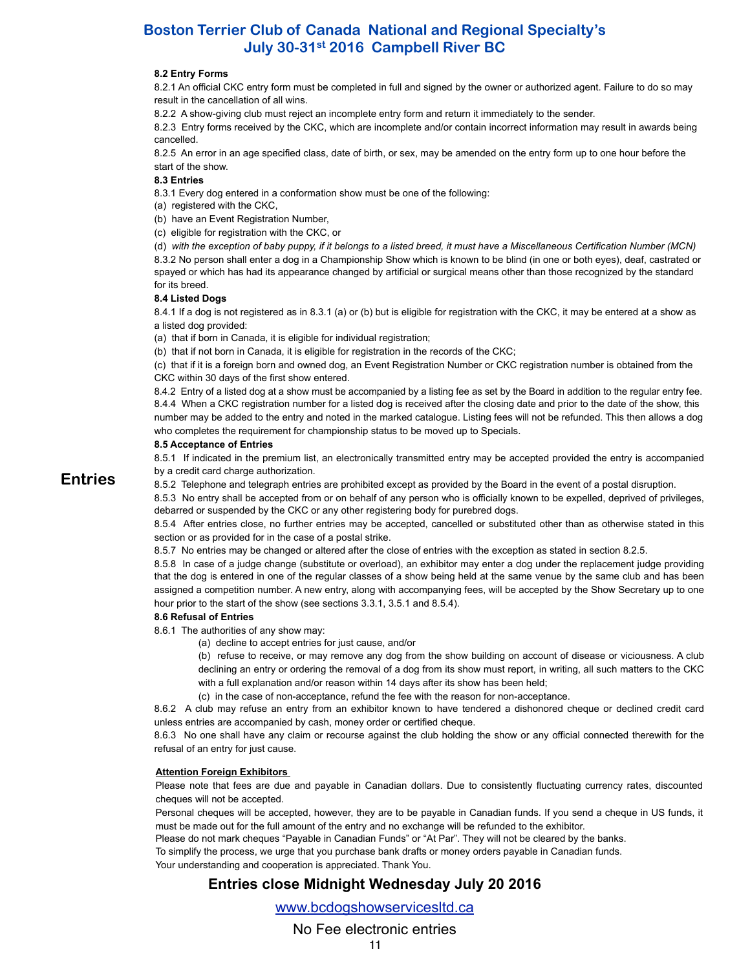#### **8.2 Entry Forms**

8.2.1 An official CKC entry form must be completed in full and signed by the owner or authorized agent. Failure to do so may result in the cancellation of all wins.

8.2.2 A show-giving club must reject an incomplete entry form and return it immediately to the sender.

8.2.3 Entry forms received by the CKC, which are incomplete and/or contain incorrect information may result in awards being cancelled.

8.2.5 An error in an age specified class, date of birth, or sex, may be amended on the entry form up to one hour before the start of the show.

#### **8.3 Entries**

8.3.1 Every dog entered in a conformation show must be one of the following:

(a) registered with the CKC,

(b) have an Event Registration Number,

(c) eligible for registration with the CKC, or

(d) *with the exception of baby puppy, if it belongs to a listed breed, it must have a Miscellaneous Certification Number (MCN)* 8.3.2 No person shall enter a dog in a Championship Show which is known to be blind (in one or both eyes), deaf, castrated or spayed or which has had its appearance changed by artificial or surgical means other than those recognized by the standard for its breed.

#### **8.4 Listed Dogs**

8.4.1 If a dog is not registered as in 8.3.1 (a) or (b) but is eligible for registration with the CKC, it may be entered at a show as a listed dog provided:

(a) that if born in Canada, it is eligible for individual registration;

(b) that if not born in Canada, it is eligible for registration in the records of the CKC;

(c) that if it is a foreign born and owned dog, an Event Registration Number or CKC registration number is obtained from the CKC within 30 days of the first show entered.

8.4.2 Entry of a listed dog at a show must be accompanied by a listing fee as set by the Board in addition to the regular entry fee. 8.4.4 When a CKC registration number for a listed dog is received after the closing date and prior to the date of the show, this number may be added to the entry and noted in the marked catalogue. Listing fees will not be refunded. This then allows a dog who completes the requirement for championship status to be moved up to Specials.

#### **8.5 Acceptance of Entries**

**Entries**

8.5.1 If indicated in the premium list, an electronically transmitted entry may be accepted provided the entry is accompanied by a credit card charge authorization.

8.5.2 Telephone and telegraph entries are prohibited except as provided by the Board in the event of a postal disruption.

8.5.3 No entry shall be accepted from or on behalf of any person who is officially known to be expelled, deprived of privileges, debarred or suspended by the CKC or any other registering body for purebred dogs.

8.5.4 After entries close, no further entries may be accepted, cancelled or substituted other than as otherwise stated in this section or as provided for in the case of a postal strike.

8.5.7 No entries may be changed or altered after the close of entries with the exception as stated in section 8.2.5.

8.5.8 In case of a judge change (substitute or overload), an exhibitor may enter a dog under the replacement judge providing that the dog is entered in one of the regular classes of a show being held at the same venue by the same club and has been assigned a competition number. A new entry, along with accompanying fees, will be accepted by the Show Secretary up to one hour prior to the start of the show (see sections 3.3.1, 3.5.1 and 8.5.4).

#### **8.6 Refusal of Entries**

8.6.1 The authorities of any show may:

(a) decline to accept entries for just cause, and/or

(b) refuse to receive, or may remove any dog from the show building on account of disease or viciousness. A club declining an entry or ordering the removal of a dog from its show must report, in writing, all such matters to the CKC with a full explanation and/or reason within 14 days after its show has been held;

(c) in the case of non-acceptance, refund the fee with the reason for non-acceptance.

8.6.2 A club may refuse an entry from an exhibitor known to have tendered a dishonored cheque or declined credit card unless entries are accompanied by cash, money order or certified cheque.

8.6.3 No one shall have any claim or recourse against the club holding the show or any official connected therewith for the refusal of an entry for just cause.

#### **Attention Foreign Exhibitors**

Please note that fees are due and payable in Canadian dollars. Due to consistently fluctuating currency rates, discounted cheques will not be accepted.

Personal cheques will be accepted, however, they are to be payable in Canadian funds. If you send a cheque in US funds, it must be made out for the full amount of the entry and no exchange will be refunded to the exhibitor.

Please do not mark cheques "Payable in Canadian Funds" or "At Par". They will not be cleared by the banks.

To simplify the process, we urge that you purchase bank drafts or money orders payable in Canadian funds.

Your understanding and cooperation is appreciated. Thank You.

### **Entries close Midnight Wednesday July 20 2016**

[www.bcdogshowservicesltd.ca](http://www.bcdogshowservicesltd.ca)